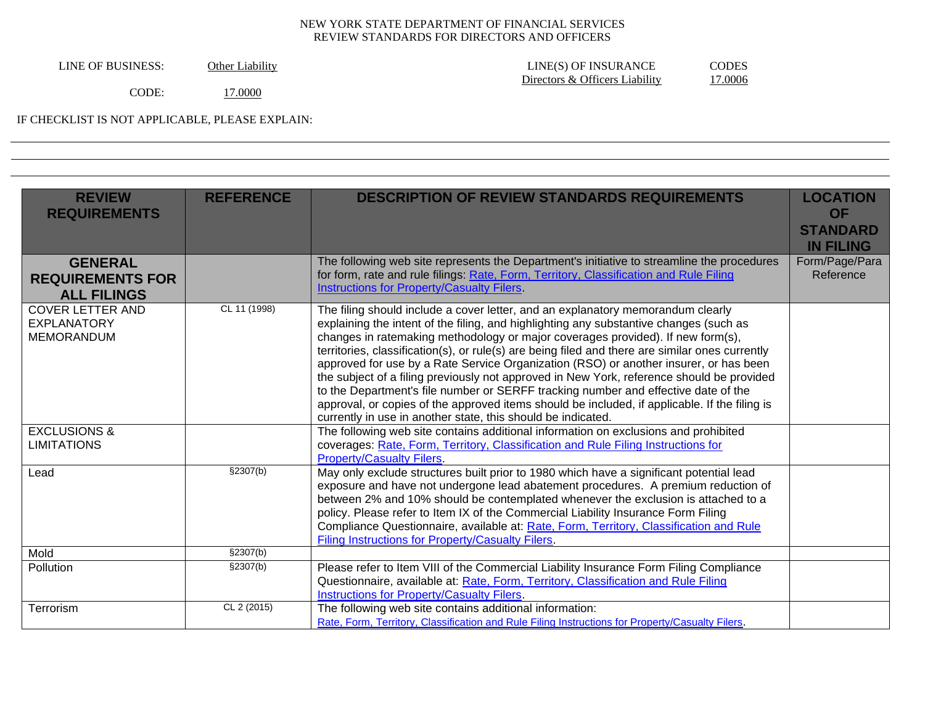| Other Liability |
|-----------------|
|                 |

LINE OF BUSINESS: Other Liability LINE(S) OF INSURANCE CODES<br>Directors & Officers Liability 17.0006 Directors & Officers Liability

CODE: 17.0000

IF CHECKLIST IS NOT APPLICABLE, PLEASE EXPLAIN:

| <b>DESCRIPTION OF REVIEW STANDARDS REQUIREMENTS</b><br><b>REVIEW</b><br><b>REFERENCE</b><br><b>LOCATION</b><br><b>REQUIREMENTS</b><br><b>OF</b><br><b>STANDARD</b><br><b>IN FILING</b><br>The following web site represents the Department's initiative to streamline the procedures<br>Form/Page/Para<br><b>GENERAL</b><br>for form, rate and rule filings: Rate, Form, Territory, Classification and Rule Filing<br>Reference<br><b>REQUIREMENTS FOR</b><br><b>Instructions for Property/Casualty Filers.</b><br><b>ALL FILINGS</b><br>CL 11 (1998)<br><b>COVER LETTER AND</b><br>The filing should include a cover letter, and an explanatory memorandum clearly<br>explaining the intent of the filing, and highlighting any substantive changes (such as<br><b>EXPLANATORY</b><br>changes in ratemaking methodology or major coverages provided). If new form(s),<br><b>MEMORANDUM</b><br>territories, classification(s), or rule(s) are being filed and there are similar ones currently<br>approved for use by a Rate Service Organization (RSO) or another insurer, or has been<br>the subject of a filing previously not approved in New York, reference should be provided<br>to the Department's file number or SERFF tracking number and effective date of the<br>approval, or copies of the approved items should be included, if applicable. If the filing is<br>currently in use in another state, this should be indicated.<br>The following web site contains additional information on exclusions and prohibited<br><b>EXCLUSIONS &amp;</b><br>coverages: Rate, Form, Territory, Classification and Rule Filing Instructions for<br><b>LIMITATIONS</b><br><b>Property/Casualty Filers.</b><br>\$2307(b)<br>May only exclude structures built prior to 1980 which have a significant potential lead<br>Lead<br>exposure and have not undergone lead abatement procedures. A premium reduction of<br>between 2% and 10% should be contemplated whenever the exclusion is attached to a<br>policy. Please refer to Item IX of the Commercial Liability Insurance Form Filing<br>Compliance Questionnaire, available at: Rate, Form, Territory, Classification and Rule<br>Filing Instructions for Property/Casualty Filers.<br>\$2307(b)<br>Mold<br>Please refer to Item VIII of the Commercial Liability Insurance Form Filing Compliance<br>\$2307(b)<br>Pollution<br>Questionnaire, available at: Rate, Form, Territory, Classification and Rule Filing<br>Instructions for Property/Casualty Filers.<br>CL 2 (2015)<br>The following web site contains additional information:<br>Terrorism<br>Rate, Form, Territory, Classification and Rule Filing Instructions for Property/Casualty Filers. |  |  |
|--------------------------------------------------------------------------------------------------------------------------------------------------------------------------------------------------------------------------------------------------------------------------------------------------------------------------------------------------------------------------------------------------------------------------------------------------------------------------------------------------------------------------------------------------------------------------------------------------------------------------------------------------------------------------------------------------------------------------------------------------------------------------------------------------------------------------------------------------------------------------------------------------------------------------------------------------------------------------------------------------------------------------------------------------------------------------------------------------------------------------------------------------------------------------------------------------------------------------------------------------------------------------------------------------------------------------------------------------------------------------------------------------------------------------------------------------------------------------------------------------------------------------------------------------------------------------------------------------------------------------------------------------------------------------------------------------------------------------------------------------------------------------------------------------------------------------------------------------------------------------------------------------------------------------------------------------------------------------------------------------------------------------------------------------------------------------------------------------------------------------------------------------------------------------------------------------------------------------------------------------------------------------------------------------------------------------------------------------------------------------------------------------------------------------------------------------------------------------------------------------------------------------------------------------------------------------------------------------------------------------------------------------------------------------------------------------------------------|--|--|
|                                                                                                                                                                                                                                                                                                                                                                                                                                                                                                                                                                                                                                                                                                                                                                                                                                                                                                                                                                                                                                                                                                                                                                                                                                                                                                                                                                                                                                                                                                                                                                                                                                                                                                                                                                                                                                                                                                                                                                                                                                                                                                                                                                                                                                                                                                                                                                                                                                                                                                                                                                                                                                                                                                                    |  |  |
|                                                                                                                                                                                                                                                                                                                                                                                                                                                                                                                                                                                                                                                                                                                                                                                                                                                                                                                                                                                                                                                                                                                                                                                                                                                                                                                                                                                                                                                                                                                                                                                                                                                                                                                                                                                                                                                                                                                                                                                                                                                                                                                                                                                                                                                                                                                                                                                                                                                                                                                                                                                                                                                                                                                    |  |  |
|                                                                                                                                                                                                                                                                                                                                                                                                                                                                                                                                                                                                                                                                                                                                                                                                                                                                                                                                                                                                                                                                                                                                                                                                                                                                                                                                                                                                                                                                                                                                                                                                                                                                                                                                                                                                                                                                                                                                                                                                                                                                                                                                                                                                                                                                                                                                                                                                                                                                                                                                                                                                                                                                                                                    |  |  |
|                                                                                                                                                                                                                                                                                                                                                                                                                                                                                                                                                                                                                                                                                                                                                                                                                                                                                                                                                                                                                                                                                                                                                                                                                                                                                                                                                                                                                                                                                                                                                                                                                                                                                                                                                                                                                                                                                                                                                                                                                                                                                                                                                                                                                                                                                                                                                                                                                                                                                                                                                                                                                                                                                                                    |  |  |
|                                                                                                                                                                                                                                                                                                                                                                                                                                                                                                                                                                                                                                                                                                                                                                                                                                                                                                                                                                                                                                                                                                                                                                                                                                                                                                                                                                                                                                                                                                                                                                                                                                                                                                                                                                                                                                                                                                                                                                                                                                                                                                                                                                                                                                                                                                                                                                                                                                                                                                                                                                                                                                                                                                                    |  |  |
|                                                                                                                                                                                                                                                                                                                                                                                                                                                                                                                                                                                                                                                                                                                                                                                                                                                                                                                                                                                                                                                                                                                                                                                                                                                                                                                                                                                                                                                                                                                                                                                                                                                                                                                                                                                                                                                                                                                                                                                                                                                                                                                                                                                                                                                                                                                                                                                                                                                                                                                                                                                                                                                                                                                    |  |  |
|                                                                                                                                                                                                                                                                                                                                                                                                                                                                                                                                                                                                                                                                                                                                                                                                                                                                                                                                                                                                                                                                                                                                                                                                                                                                                                                                                                                                                                                                                                                                                                                                                                                                                                                                                                                                                                                                                                                                                                                                                                                                                                                                                                                                                                                                                                                                                                                                                                                                                                                                                                                                                                                                                                                    |  |  |
|                                                                                                                                                                                                                                                                                                                                                                                                                                                                                                                                                                                                                                                                                                                                                                                                                                                                                                                                                                                                                                                                                                                                                                                                                                                                                                                                                                                                                                                                                                                                                                                                                                                                                                                                                                                                                                                                                                                                                                                                                                                                                                                                                                                                                                                                                                                                                                                                                                                                                                                                                                                                                                                                                                                    |  |  |
|                                                                                                                                                                                                                                                                                                                                                                                                                                                                                                                                                                                                                                                                                                                                                                                                                                                                                                                                                                                                                                                                                                                                                                                                                                                                                                                                                                                                                                                                                                                                                                                                                                                                                                                                                                                                                                                                                                                                                                                                                                                                                                                                                                                                                                                                                                                                                                                                                                                                                                                                                                                                                                                                                                                    |  |  |
|                                                                                                                                                                                                                                                                                                                                                                                                                                                                                                                                                                                                                                                                                                                                                                                                                                                                                                                                                                                                                                                                                                                                                                                                                                                                                                                                                                                                                                                                                                                                                                                                                                                                                                                                                                                                                                                                                                                                                                                                                                                                                                                                                                                                                                                                                                                                                                                                                                                                                                                                                                                                                                                                                                                    |  |  |
|                                                                                                                                                                                                                                                                                                                                                                                                                                                                                                                                                                                                                                                                                                                                                                                                                                                                                                                                                                                                                                                                                                                                                                                                                                                                                                                                                                                                                                                                                                                                                                                                                                                                                                                                                                                                                                                                                                                                                                                                                                                                                                                                                                                                                                                                                                                                                                                                                                                                                                                                                                                                                                                                                                                    |  |  |
|                                                                                                                                                                                                                                                                                                                                                                                                                                                                                                                                                                                                                                                                                                                                                                                                                                                                                                                                                                                                                                                                                                                                                                                                                                                                                                                                                                                                                                                                                                                                                                                                                                                                                                                                                                                                                                                                                                                                                                                                                                                                                                                                                                                                                                                                                                                                                                                                                                                                                                                                                                                                                                                                                                                    |  |  |
|                                                                                                                                                                                                                                                                                                                                                                                                                                                                                                                                                                                                                                                                                                                                                                                                                                                                                                                                                                                                                                                                                                                                                                                                                                                                                                                                                                                                                                                                                                                                                                                                                                                                                                                                                                                                                                                                                                                                                                                                                                                                                                                                                                                                                                                                                                                                                                                                                                                                                                                                                                                                                                                                                                                    |  |  |
|                                                                                                                                                                                                                                                                                                                                                                                                                                                                                                                                                                                                                                                                                                                                                                                                                                                                                                                                                                                                                                                                                                                                                                                                                                                                                                                                                                                                                                                                                                                                                                                                                                                                                                                                                                                                                                                                                                                                                                                                                                                                                                                                                                                                                                                                                                                                                                                                                                                                                                                                                                                                                                                                                                                    |  |  |
|                                                                                                                                                                                                                                                                                                                                                                                                                                                                                                                                                                                                                                                                                                                                                                                                                                                                                                                                                                                                                                                                                                                                                                                                                                                                                                                                                                                                                                                                                                                                                                                                                                                                                                                                                                                                                                                                                                                                                                                                                                                                                                                                                                                                                                                                                                                                                                                                                                                                                                                                                                                                                                                                                                                    |  |  |
|                                                                                                                                                                                                                                                                                                                                                                                                                                                                                                                                                                                                                                                                                                                                                                                                                                                                                                                                                                                                                                                                                                                                                                                                                                                                                                                                                                                                                                                                                                                                                                                                                                                                                                                                                                                                                                                                                                                                                                                                                                                                                                                                                                                                                                                                                                                                                                                                                                                                                                                                                                                                                                                                                                                    |  |  |
|                                                                                                                                                                                                                                                                                                                                                                                                                                                                                                                                                                                                                                                                                                                                                                                                                                                                                                                                                                                                                                                                                                                                                                                                                                                                                                                                                                                                                                                                                                                                                                                                                                                                                                                                                                                                                                                                                                                                                                                                                                                                                                                                                                                                                                                                                                                                                                                                                                                                                                                                                                                                                                                                                                                    |  |  |
|                                                                                                                                                                                                                                                                                                                                                                                                                                                                                                                                                                                                                                                                                                                                                                                                                                                                                                                                                                                                                                                                                                                                                                                                                                                                                                                                                                                                                                                                                                                                                                                                                                                                                                                                                                                                                                                                                                                                                                                                                                                                                                                                                                                                                                                                                                                                                                                                                                                                                                                                                                                                                                                                                                                    |  |  |
|                                                                                                                                                                                                                                                                                                                                                                                                                                                                                                                                                                                                                                                                                                                                                                                                                                                                                                                                                                                                                                                                                                                                                                                                                                                                                                                                                                                                                                                                                                                                                                                                                                                                                                                                                                                                                                                                                                                                                                                                                                                                                                                                                                                                                                                                                                                                                                                                                                                                                                                                                                                                                                                                                                                    |  |  |
|                                                                                                                                                                                                                                                                                                                                                                                                                                                                                                                                                                                                                                                                                                                                                                                                                                                                                                                                                                                                                                                                                                                                                                                                                                                                                                                                                                                                                                                                                                                                                                                                                                                                                                                                                                                                                                                                                                                                                                                                                                                                                                                                                                                                                                                                                                                                                                                                                                                                                                                                                                                                                                                                                                                    |  |  |
|                                                                                                                                                                                                                                                                                                                                                                                                                                                                                                                                                                                                                                                                                                                                                                                                                                                                                                                                                                                                                                                                                                                                                                                                                                                                                                                                                                                                                                                                                                                                                                                                                                                                                                                                                                                                                                                                                                                                                                                                                                                                                                                                                                                                                                                                                                                                                                                                                                                                                                                                                                                                                                                                                                                    |  |  |
|                                                                                                                                                                                                                                                                                                                                                                                                                                                                                                                                                                                                                                                                                                                                                                                                                                                                                                                                                                                                                                                                                                                                                                                                                                                                                                                                                                                                                                                                                                                                                                                                                                                                                                                                                                                                                                                                                                                                                                                                                                                                                                                                                                                                                                                                                                                                                                                                                                                                                                                                                                                                                                                                                                                    |  |  |
|                                                                                                                                                                                                                                                                                                                                                                                                                                                                                                                                                                                                                                                                                                                                                                                                                                                                                                                                                                                                                                                                                                                                                                                                                                                                                                                                                                                                                                                                                                                                                                                                                                                                                                                                                                                                                                                                                                                                                                                                                                                                                                                                                                                                                                                                                                                                                                                                                                                                                                                                                                                                                                                                                                                    |  |  |
|                                                                                                                                                                                                                                                                                                                                                                                                                                                                                                                                                                                                                                                                                                                                                                                                                                                                                                                                                                                                                                                                                                                                                                                                                                                                                                                                                                                                                                                                                                                                                                                                                                                                                                                                                                                                                                                                                                                                                                                                                                                                                                                                                                                                                                                                                                                                                                                                                                                                                                                                                                                                                                                                                                                    |  |  |
|                                                                                                                                                                                                                                                                                                                                                                                                                                                                                                                                                                                                                                                                                                                                                                                                                                                                                                                                                                                                                                                                                                                                                                                                                                                                                                                                                                                                                                                                                                                                                                                                                                                                                                                                                                                                                                                                                                                                                                                                                                                                                                                                                                                                                                                                                                                                                                                                                                                                                                                                                                                                                                                                                                                    |  |  |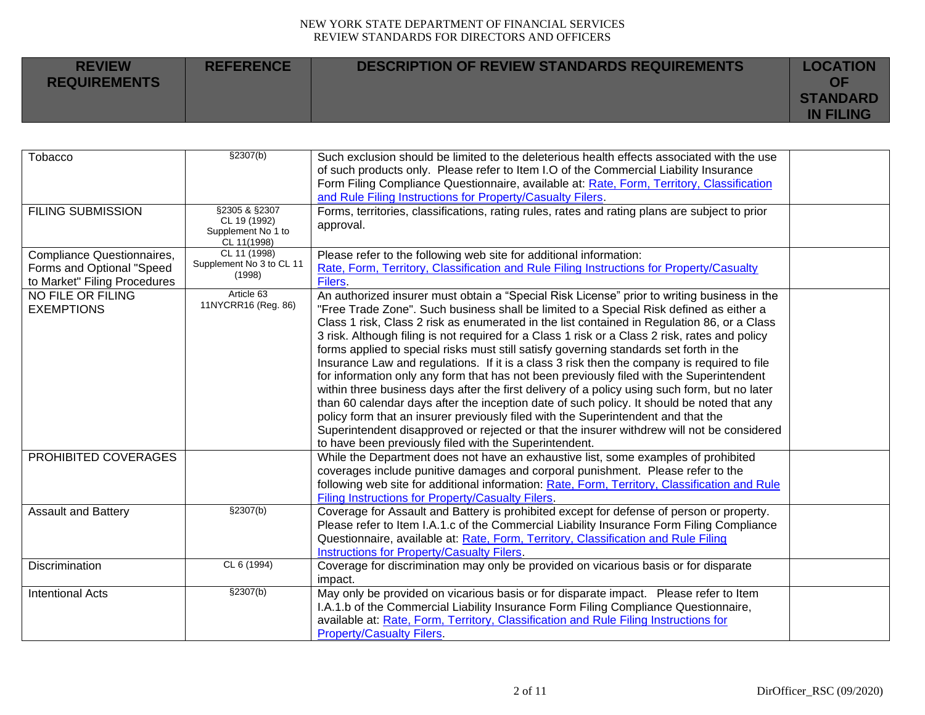| <b>REVIEW</b><br><b>REQUIREMENTS</b> | <b>REFERENCE</b> | <b>DESCRIPTION OF REVIEW STANDARDS REQUIREMENTS</b> | <b>LOCATION</b><br>OF<br><b>STANDARD</b> |
|--------------------------------------|------------------|-----------------------------------------------------|------------------------------------------|
|                                      |                  |                                                     | <b>IN FILING</b>                         |

| Tobacco                      | \$2307(b)                         | Such exclusion should be limited to the deleterious health effects associated with the use     |  |
|------------------------------|-----------------------------------|------------------------------------------------------------------------------------------------|--|
|                              |                                   | of such products only. Please refer to Item I.O of the Commercial Liability Insurance          |  |
|                              |                                   | Form Filing Compliance Questionnaire, available at: Rate, Form, Territory, Classification      |  |
|                              |                                   | and Rule Filing Instructions for Property/Casualty Filers.                                     |  |
| <b>FILING SUBMISSION</b>     | §2305 & §2307                     | Forms, territories, classifications, rating rules, rates and rating plans are subject to prior |  |
|                              | CL 19 (1992)                      | approval.                                                                                      |  |
|                              | Supplement No 1 to                |                                                                                                |  |
| Compliance Questionnaires,   | CL 11(1998)<br>CL 11 (1998)       | Please refer to the following web site for additional information:                             |  |
|                              | Supplement No 3 to CL 11          |                                                                                                |  |
| Forms and Optional "Speed    | (1998)                            | Rate, Form, Territory, Classification and Rule Filing Instructions for Property/Casualty       |  |
| to Market" Filing Procedures |                                   | <b>Filers</b>                                                                                  |  |
| NO FILE OR FILING            | Article 63<br>11NYCRR16 (Reg. 86) | An authorized insurer must obtain a "Special Risk License" prior to writing business in the    |  |
| <b>EXEMPTIONS</b>            |                                   | "Free Trade Zone". Such business shall be limited to a Special Risk defined as either a        |  |
|                              |                                   | Class 1 risk, Class 2 risk as enumerated in the list contained in Regulation 86, or a Class    |  |
|                              |                                   | 3 risk. Although filing is not required for a Class 1 risk or a Class 2 risk, rates and policy |  |
|                              |                                   | forms applied to special risks must still satisfy governing standards set forth in the         |  |
|                              |                                   | Insurance Law and regulations. If it is a class 3 risk then the company is required to file    |  |
|                              |                                   | for information only any form that has not been previously filed with the Superintendent       |  |
|                              |                                   | within three business days after the first delivery of a policy using such form, but no later  |  |
|                              |                                   | than 60 calendar days after the inception date of such policy. It should be noted that any     |  |
|                              |                                   | policy form that an insurer previously filed with the Superintendent and that the              |  |
|                              |                                   | Superintendent disapproved or rejected or that the insurer withdrew will not be considered     |  |
|                              |                                   | to have been previously filed with the Superintendent.                                         |  |
| PROHIBITED COVERAGES         |                                   | While the Department does not have an exhaustive list, some examples of prohibited             |  |
|                              |                                   | coverages include punitive damages and corporal punishment. Please refer to the                |  |
|                              |                                   | following web site for additional information: Rate, Form, Territory, Classification and Rule  |  |
|                              |                                   | Filing Instructions for Property/Casualty Filers.                                              |  |
| <b>Assault and Battery</b>   | \$2307(b)                         | Coverage for Assault and Battery is prohibited except for defense of person or property.       |  |
|                              |                                   | Please refer to Item I.A.1.c of the Commercial Liability Insurance Form Filing Compliance      |  |
|                              |                                   | Questionnaire, available at: Rate, Form, Territory, Classification and Rule Filing             |  |
|                              |                                   | <b>Instructions for Property/Casualty Filers.</b>                                              |  |
| Discrimination               | CL 6 (1994)                       | Coverage for discrimination may only be provided on vicarious basis or for disparate           |  |
|                              |                                   | impact.                                                                                        |  |
| <b>Intentional Acts</b>      | \$2307(b)                         | May only be provided on vicarious basis or for disparate impact. Please refer to Item          |  |
|                              |                                   | I.A.1.b of the Commercial Liability Insurance Form Filing Compliance Questionnaire,            |  |
|                              |                                   | available at: Rate, Form, Territory, Classification and Rule Filing Instructions for           |  |
|                              |                                   | <b>Property/Casualty Filers.</b>                                                               |  |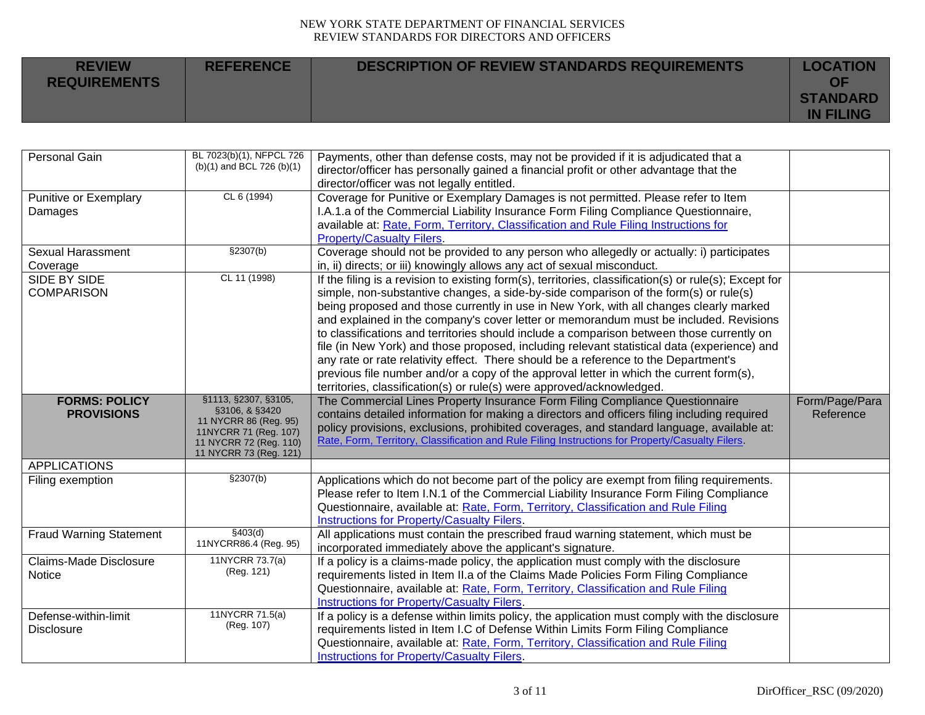| <b>REVIEW</b><br><b>REQUIREMENTS</b> | <b>REFERENCE</b> | DESCRIPTION OF REVIEW STANDARDS REQUIREMENTS | <b>LOCATION</b><br>OF               |
|--------------------------------------|------------------|----------------------------------------------|-------------------------------------|
|                                      |                  |                                              | <b>STANDARD</b><br><b>IN FILING</b> |

| Personal Gain                  | BL 7023(b)(1), NFPCL 726                | Payments, other than defense costs, may not be provided if it is adjudicated that a                                              |                |
|--------------------------------|-----------------------------------------|----------------------------------------------------------------------------------------------------------------------------------|----------------|
|                                | $(b)(1)$ and BCL 726 $(b)(1)$           | director/officer has personally gained a financial profit or other advantage that the                                            |                |
|                                |                                         | director/officer was not legally entitled.                                                                                       |                |
| Punitive or Exemplary          | CL 6 (1994)                             | Coverage for Punitive or Exemplary Damages is not permitted. Please refer to Item                                                |                |
| Damages                        |                                         | I.A.1.a of the Commercial Liability Insurance Form Filing Compliance Questionnaire,                                              |                |
|                                |                                         | available at: Rate, Form, Territory, Classification and Rule Filing Instructions for                                             |                |
|                                |                                         | <b>Property/Casualty Filers.</b>                                                                                                 |                |
| <b>Sexual Harassment</b>       | \$2307(b)                               | Coverage should not be provided to any person who allegedly or actually: i) participates                                         |                |
| Coverage                       |                                         | in, ii) directs; or iii) knowingly allows any act of sexual misconduct.                                                          |                |
| SIDE BY SIDE                   | CL 11 (1998)                            | If the filing is a revision to existing form(s), territories, classification(s) or rule(s); Except for                           |                |
| <b>COMPARISON</b>              |                                         | simple, non-substantive changes, a side-by-side comparison of the form(s) or rule(s)                                             |                |
|                                |                                         | being proposed and those currently in use in New York, with all changes clearly marked                                           |                |
|                                |                                         | and explained in the company's cover letter or memorandum must be included. Revisions                                            |                |
|                                |                                         | to classifications and territories should include a comparison between those currently on                                        |                |
|                                |                                         | file (in New York) and those proposed, including relevant statistical data (experience) and                                      |                |
|                                |                                         | any rate or rate relativity effect. There should be a reference to the Department's                                              |                |
|                                |                                         | previous file number and/or a copy of the approval letter in which the current form(s),                                          |                |
|                                |                                         | territories, classification(s) or rule(s) were approved/acknowledged.                                                            |                |
| <b>FORMS: POLICY</b>           | §1113, §2307, §3105,                    | The Commercial Lines Property Insurance Form Filing Compliance Questionnaire                                                     | Form/Page/Para |
| <b>PROVISIONS</b>              | §3106, & §3420<br>11 NYCRR 86 (Reg. 95) | contains detailed information for making a directors and officers filing including required                                      | Reference      |
|                                | 11NYCRR 71 (Reg. 107)                   | policy provisions, exclusions, prohibited coverages, and standard language, available at:                                        |                |
|                                | 11 NYCRR 72 (Reg. 110)                  | Rate, Form, Territory, Classification and Rule Filing Instructions for Property/Casualty Filers.                                 |                |
|                                | 11 NYCRR 73 (Reg. 121)                  |                                                                                                                                  |                |
| <b>APPLICATIONS</b>            |                                         |                                                                                                                                  |                |
| Filing exemption               | \$2307(b)                               | Applications which do not become part of the policy are exempt from filing requirements.                                         |                |
|                                |                                         | Please refer to Item I.N.1 of the Commercial Liability Insurance Form Filing Compliance                                          |                |
|                                |                                         | Questionnaire, available at: Rate, Form, Territory, Classification and Rule Filing                                               |                |
|                                |                                         | <b>Instructions for Property/Casualty Filers.</b>                                                                                |                |
| <b>Fraud Warning Statement</b> |                                         |                                                                                                                                  |                |
|                                | \$403(d)                                | All applications must contain the prescribed fraud warning statement, which must be                                              |                |
|                                | 11NYCRR86.4 (Reg. 95)                   | incorporated immediately above the applicant's signature.                                                                        |                |
| <b>Claims-Made Disclosure</b>  | 11NYCRR 73.7(a)                         | If a policy is a claims-made policy, the application must comply with the disclosure                                             |                |
| Notice                         | (Reg. 121)                              | requirements listed in Item II.a of the Claims Made Policies Form Filing Compliance                                              |                |
|                                |                                         | Questionnaire, available at: Rate, Form, Territory, Classification and Rule Filing                                               |                |
|                                |                                         | <b>Instructions for Property/Casualty Filers.</b>                                                                                |                |
| Defense-within-limit           | 11NYCRR 71.5(a)                         | If a policy is a defense within limits policy, the application must comply with the disclosure                                   |                |
| <b>Disclosure</b>              | (Reg. 107)                              | requirements listed in Item I.C of Defense Within Limits Form Filing Compliance                                                  |                |
|                                |                                         | Questionnaire, available at: Rate, Form, Territory, Classification and Rule Filing<br>Instructions for Property/Casualty Filers. |                |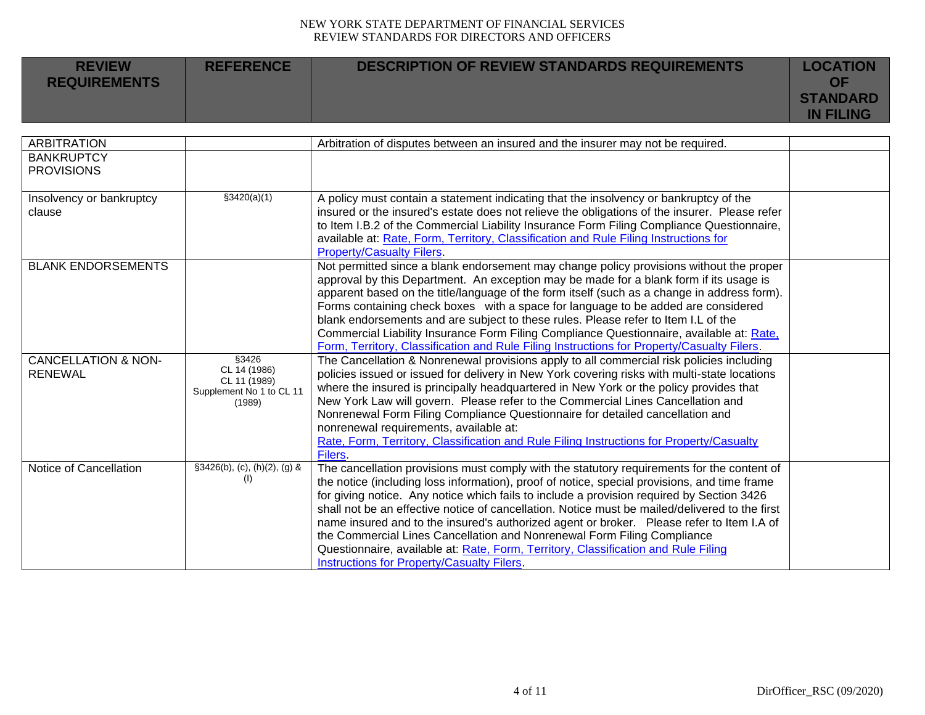| <b>REVIEW</b><br><b>REQUIREMENTS</b> | <b>REFERENCE</b> | <b>DESCRIPTION OF REVIEW STANDARDS REQUIREMENTS</b> | <b>LOCATION</b><br>OF               |
|--------------------------------------|------------------|-----------------------------------------------------|-------------------------------------|
|                                      |                  |                                                     | <b>STANDARD</b><br><b>IN FILING</b> |

| <b>ARBITRATION</b>             |                                    | Arbitration of disputes between an insured and the insurer may not be required.                                                                                                  |  |
|--------------------------------|------------------------------------|----------------------------------------------------------------------------------------------------------------------------------------------------------------------------------|--|
| <b>BANKRUPTCY</b>              |                                    |                                                                                                                                                                                  |  |
| <b>PROVISIONS</b>              |                                    |                                                                                                                                                                                  |  |
|                                |                                    |                                                                                                                                                                                  |  |
| Insolvency or bankruptcy       | \$3420(a)(1)                       | A policy must contain a statement indicating that the insolvency or bankruptcy of the                                                                                            |  |
| clause                         |                                    | insured or the insured's estate does not relieve the obligations of the insurer. Please refer                                                                                    |  |
|                                |                                    | to Item I.B.2 of the Commercial Liability Insurance Form Filing Compliance Questionnaire,                                                                                        |  |
|                                |                                    | available at: Rate, Form, Territory, Classification and Rule Filing Instructions for                                                                                             |  |
|                                |                                    | <b>Property/Casualty Filers.</b>                                                                                                                                                 |  |
| <b>BLANK ENDORSEMENTS</b>      |                                    | Not permitted since a blank endorsement may change policy provisions without the proper                                                                                          |  |
|                                |                                    | approval by this Department. An exception may be made for a blank form if its usage is                                                                                           |  |
|                                |                                    | apparent based on the title/language of the form itself (such as a change in address form).<br>Forms containing check boxes with a space for language to be added are considered |  |
|                                |                                    | blank endorsements and are subject to these rules. Please refer to Item I.L of the                                                                                               |  |
|                                |                                    | Commercial Liability Insurance Form Filing Compliance Questionnaire, available at: Rate,                                                                                         |  |
|                                |                                    | Form, Territory, Classification and Rule Filing Instructions for Property/Casualty Filers.                                                                                       |  |
| <b>CANCELLATION &amp; NON-</b> | §3426                              | The Cancellation & Nonrenewal provisions apply to all commercial risk policies including                                                                                         |  |
| <b>RENEWAL</b>                 | CL 14 (1986)                       | policies issued or issued for delivery in New York covering risks with multi-state locations                                                                                     |  |
|                                | CL 11 (1989)                       | where the insured is principally headquartered in New York or the policy provides that                                                                                           |  |
|                                | Supplement No 1 to CL 11<br>(1989) | New York Law will govern. Please refer to the Commercial Lines Cancellation and                                                                                                  |  |
|                                |                                    | Nonrenewal Form Filing Compliance Questionnaire for detailed cancellation and                                                                                                    |  |
|                                |                                    | nonrenewal requirements, available at:                                                                                                                                           |  |
|                                |                                    | Rate, Form, Territory, Classification and Rule Filing Instructions for Property/Casualty                                                                                         |  |
|                                |                                    | Filers.                                                                                                                                                                          |  |
| Notice of Cancellation         | §3426(b), (c), (h)(2), (g) &       | The cancellation provisions must comply with the statutory requirements for the content of                                                                                       |  |
|                                | (1)                                | the notice (including loss information), proof of notice, special provisions, and time frame                                                                                     |  |
|                                |                                    | for giving notice. Any notice which fails to include a provision required by Section 3426                                                                                        |  |
|                                |                                    | shall not be an effective notice of cancellation. Notice must be mailed/delivered to the first                                                                                   |  |
|                                |                                    | name insured and to the insured's authorized agent or broker.  Please refer to Item I.A of                                                                                       |  |
|                                |                                    | the Commercial Lines Cancellation and Nonrenewal Form Filing Compliance                                                                                                          |  |
|                                |                                    | Questionnaire, available at: Rate, Form, Territory, Classification and Rule Filing                                                                                               |  |
|                                |                                    | Instructions for Property/Casualty Filers.                                                                                                                                       |  |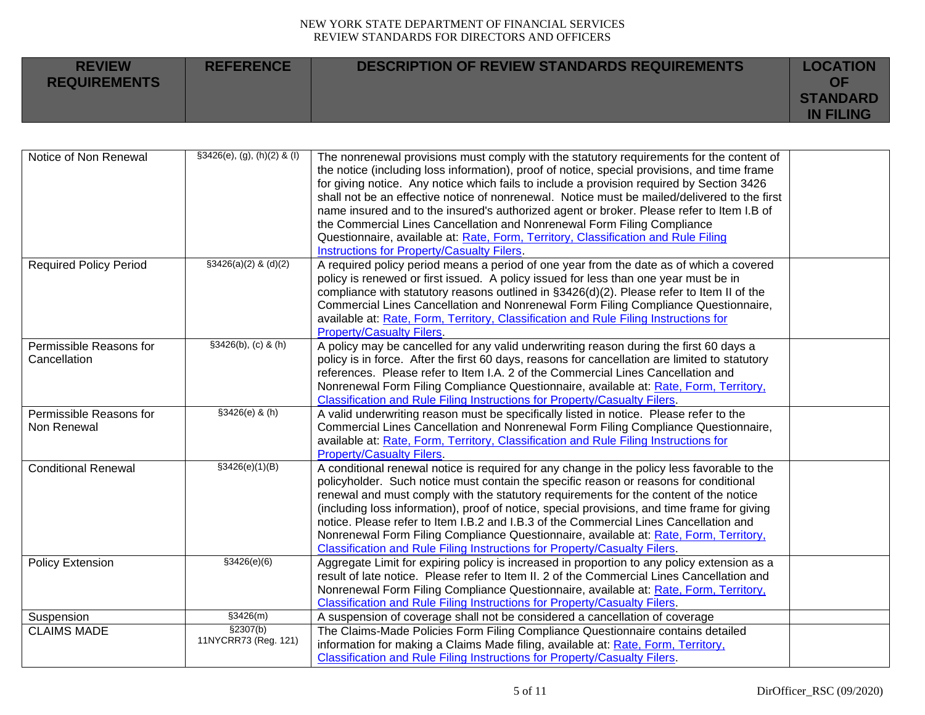| <b>REVIEW</b><br><b>REQUIREMENTS</b> | <b>REFERENCE</b> | DESCRIPTION OF REVIEW STANDARDS REQUIREMENTS | <b>LOCATION</b><br>ΟF               |
|--------------------------------------|------------------|----------------------------------------------|-------------------------------------|
|                                      |                  |                                              | <b>STANDARD</b><br><b>IN FILING</b> |

| Notice of Non Renewal         | $§3426(e), (g), (h)(2)$ & (I) | The nonrenewal provisions must comply with the statutory requirements for the content of<br>the notice (including loss information), proof of notice, special provisions, and time frame<br>for giving notice. Any notice which fails to include a provision required by Section 3426<br>shall not be an effective notice of nonrenewal. Notice must be mailed/delivered to the first |  |
|-------------------------------|-------------------------------|---------------------------------------------------------------------------------------------------------------------------------------------------------------------------------------------------------------------------------------------------------------------------------------------------------------------------------------------------------------------------------------|--|
|                               |                               | name insured and to the insured's authorized agent or broker. Please refer to Item I.B of                                                                                                                                                                                                                                                                                             |  |
|                               |                               | the Commercial Lines Cancellation and Nonrenewal Form Filing Compliance                                                                                                                                                                                                                                                                                                               |  |
|                               |                               | Questionnaire, available at: Rate, Form, Territory, Classification and Rule Filing                                                                                                                                                                                                                                                                                                    |  |
|                               |                               | <b>Instructions for Property/Casualty Filers.</b>                                                                                                                                                                                                                                                                                                                                     |  |
| <b>Required Policy Period</b> | $$3426(a)(2)$ & (d)(2)        | A required policy period means a period of one year from the date as of which a covered                                                                                                                                                                                                                                                                                               |  |
|                               |                               | policy is renewed or first issued. A policy issued for less than one year must be in                                                                                                                                                                                                                                                                                                  |  |
|                               |                               | compliance with statutory reasons outlined in §3426(d)(2). Please refer to Item II of the                                                                                                                                                                                                                                                                                             |  |
|                               |                               | Commercial Lines Cancellation and Nonrenewal Form Filing Compliance Questionnaire,                                                                                                                                                                                                                                                                                                    |  |
|                               |                               | available at: Rate, Form, Territory, Classification and Rule Filing Instructions for                                                                                                                                                                                                                                                                                                  |  |
|                               |                               | <b>Property/Casualty Filers.</b>                                                                                                                                                                                                                                                                                                                                                      |  |
| Permissible Reasons for       | $$3426(b), (c)$ & (h)         | A policy may be cancelled for any valid underwriting reason during the first 60 days a                                                                                                                                                                                                                                                                                                |  |
| Cancellation                  |                               | policy is in force. After the first 60 days, reasons for cancellation are limited to statutory                                                                                                                                                                                                                                                                                        |  |
|                               |                               | references. Please refer to Item I.A. 2 of the Commercial Lines Cancellation and                                                                                                                                                                                                                                                                                                      |  |
|                               |                               | Nonrenewal Form Filing Compliance Questionnaire, available at: Rate, Form, Territory,                                                                                                                                                                                                                                                                                                 |  |
|                               |                               | Classification and Rule Filing Instructions for Property/Casualty Filers.                                                                                                                                                                                                                                                                                                             |  |
| Permissible Reasons for       | §3426(e) & (h)                | A valid underwriting reason must be specifically listed in notice. Please refer to the                                                                                                                                                                                                                                                                                                |  |
| Non Renewal                   |                               | Commercial Lines Cancellation and Nonrenewal Form Filing Compliance Questionnaire,                                                                                                                                                                                                                                                                                                    |  |
|                               |                               | available at: Rate, Form, Territory, Classification and Rule Filing Instructions for                                                                                                                                                                                                                                                                                                  |  |
|                               |                               | <b>Property/Casualty Filers.</b>                                                                                                                                                                                                                                                                                                                                                      |  |
| <b>Conditional Renewal</b>    | \$3426(e)(1)(B)               | A conditional renewal notice is required for any change in the policy less favorable to the                                                                                                                                                                                                                                                                                           |  |
|                               |                               | policyholder. Such notice must contain the specific reason or reasons for conditional                                                                                                                                                                                                                                                                                                 |  |
|                               |                               | renewal and must comply with the statutory requirements for the content of the notice                                                                                                                                                                                                                                                                                                 |  |
|                               |                               | (including loss information), proof of notice, special provisions, and time frame for giving                                                                                                                                                                                                                                                                                          |  |
|                               |                               | notice. Please refer to Item I.B.2 and I.B.3 of the Commercial Lines Cancellation and                                                                                                                                                                                                                                                                                                 |  |
|                               |                               | Nonrenewal Form Filing Compliance Questionnaire, available at: Rate, Form, Territory,                                                                                                                                                                                                                                                                                                 |  |
|                               |                               | Classification and Rule Filing Instructions for Property/Casualty Filers.                                                                                                                                                                                                                                                                                                             |  |
| <b>Policy Extension</b>       | \$3426(e)(6)                  | Aggregate Limit for expiring policy is increased in proportion to any policy extension as a                                                                                                                                                                                                                                                                                           |  |
|                               |                               | result of late notice. Please refer to Item II. 2 of the Commercial Lines Cancellation and                                                                                                                                                                                                                                                                                            |  |
|                               |                               | Nonrenewal Form Filing Compliance Questionnaire, available at: Rate, Form, Territory,                                                                                                                                                                                                                                                                                                 |  |
|                               |                               | <b>Classification and Rule Filing Instructions for Property/Casualty Filers.</b>                                                                                                                                                                                                                                                                                                      |  |
| Suspension                    | \$3426(m)                     | A suspension of coverage shall not be considered a cancellation of coverage                                                                                                                                                                                                                                                                                                           |  |
| <b>CLAIMS MADE</b>            | \$2307(b)                     | The Claims-Made Policies Form Filing Compliance Questionnaire contains detailed                                                                                                                                                                                                                                                                                                       |  |
|                               | 11NYCRR73 (Reg. 121)          | information for making a Claims Made filing, available at: Rate, Form, Territory,                                                                                                                                                                                                                                                                                                     |  |
|                               |                               | Classification and Rule Filing Instructions for Property/Casualty Filers.                                                                                                                                                                                                                                                                                                             |  |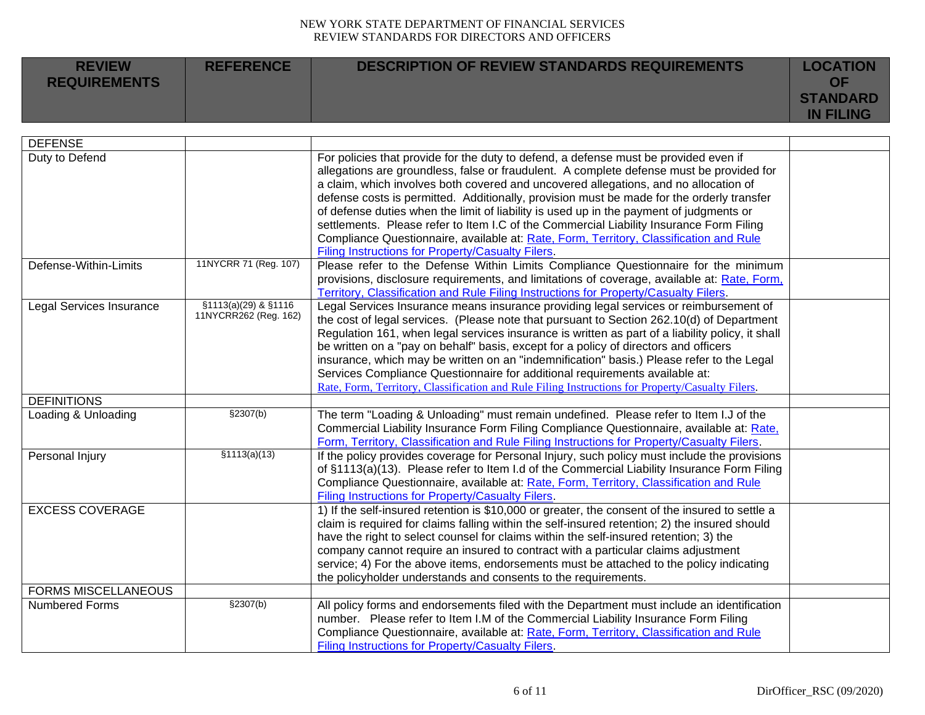| <b>REVIEW</b><br><b>REQUIREMENTS</b> | <b>REFERENCE</b> | <b>DESCRIPTION OF REVIEW STANDARDS REQUIREMENTS</b> | <b>LOCATION</b><br>OF               |
|--------------------------------------|------------------|-----------------------------------------------------|-------------------------------------|
|                                      |                  |                                                     | <b>STANDARD</b><br><b>IN FILING</b> |

| <b>DEFENSE</b>             |                       |                                                                                                  |  |
|----------------------------|-----------------------|--------------------------------------------------------------------------------------------------|--|
| Duty to Defend             |                       | For policies that provide for the duty to defend, a defense must be provided even if             |  |
|                            |                       | allegations are groundless, false or fraudulent. A complete defense must be provided for         |  |
|                            |                       | a claim, which involves both covered and uncovered allegations, and no allocation of             |  |
|                            |                       | defense costs is permitted. Additionally, provision must be made for the orderly transfer        |  |
|                            |                       | of defense duties when the limit of liability is used up in the payment of judgments or          |  |
|                            |                       | settlements. Please refer to Item I.C of the Commercial Liability Insurance Form Filing          |  |
|                            |                       | Compliance Questionnaire, available at: Rate, Form, Territory, Classification and Rule           |  |
|                            |                       | Filing Instructions for Property/Casualty Filers.                                                |  |
| Defense-Within-Limits      | 11NYCRR 71 (Reg. 107) | Please refer to the Defense Within Limits Compliance Questionnaire for the minimum               |  |
|                            |                       | provisions, disclosure requirements, and limitations of coverage, available at: Rate, Form,      |  |
|                            |                       | Territory, Classification and Rule Filing Instructions for Property/Casualty Filers.             |  |
| Legal Services Insurance   | §1113(a)(29) & §1116  | Legal Services Insurance means insurance providing legal services or reimbursement of            |  |
|                            | 11NYCRR262 (Reg. 162) | the cost of legal services. (Please note that pursuant to Section 262.10(d) of Department        |  |
|                            |                       | Regulation 161, when legal services insurance is written as part of a liability policy, it shall |  |
|                            |                       | be written on a "pay on behalf" basis, except for a policy of directors and officers             |  |
|                            |                       | insurance, which may be written on an "indemnification" basis.) Please refer to the Legal        |  |
|                            |                       | Services Compliance Questionnaire for additional requirements available at:                      |  |
|                            |                       | Rate, Form, Territory, Classification and Rule Filing Instructions for Property/Casualty Filers. |  |
| <b>DEFINITIONS</b>         |                       |                                                                                                  |  |
| Loading & Unloading        | §2307(b)              | The term "Loading & Unloading" must remain undefined. Please refer to Item I.J of the            |  |
|                            |                       | Commercial Liability Insurance Form Filing Compliance Questionnaire, available at: Rate,         |  |
|                            |                       | Form, Territory, Classification and Rule Filing Instructions for Property/Casualty Filers.       |  |
| Personal Injury            | \$1113(a)(13)         | If the policy provides coverage for Personal Injury, such policy must include the provisions     |  |
|                            |                       | of §1113(a)(13). Please refer to Item I.d of the Commercial Liability Insurance Form Filing      |  |
|                            |                       | Compliance Questionnaire, available at: Rate, Form, Territory, Classification and Rule           |  |
|                            |                       | <b>Filing Instructions for Property/Casualty Filers.</b>                                         |  |
| <b>EXCESS COVERAGE</b>     |                       | 1) If the self-insured retention is \$10,000 or greater, the consent of the insured to settle a  |  |
|                            |                       | claim is required for claims falling within the self-insured retention; 2) the insured should    |  |
|                            |                       | have the right to select counsel for claims within the self-insured retention; 3) the            |  |
|                            |                       | company cannot require an insured to contract with a particular claims adjustment                |  |
|                            |                       | service; 4) For the above items, endorsements must be attached to the policy indicating          |  |
|                            |                       | the policyholder understands and consents to the requirements.                                   |  |
| <b>FORMS MISCELLANEOUS</b> |                       |                                                                                                  |  |
| Numbered Forms             | \$2307(b)             | All policy forms and endorsements filed with the Department must include an identification       |  |
|                            |                       | number. Please refer to Item I.M of the Commercial Liability Insurance Form Filing               |  |
|                            |                       | Compliance Questionnaire, available at: Rate, Form, Territory, Classification and Rule           |  |
|                            |                       | Filing Instructions for Property/Casualty Filers.                                                |  |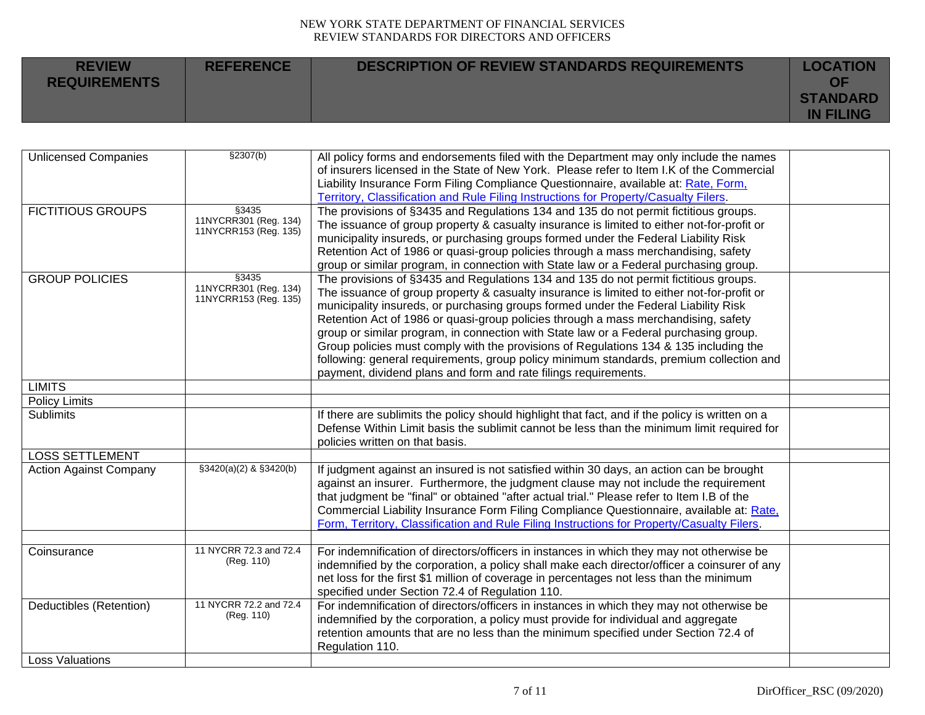| <b>REVIEW</b><br><b>REQUIREMENTS</b> | <b>REFERENCE</b> | DESCRIPTION OF REVIEW STANDARDS REQUIREMENTS | <b>LOCATION</b><br>OF               |
|--------------------------------------|------------------|----------------------------------------------|-------------------------------------|
|                                      |                  |                                              | <b>STANDARD</b><br><b>IN FILING</b> |

| <b>Unlicensed Companies</b>   | \$2307(b)                                      | All policy forms and endorsements filed with the Department may only include the names          |  |
|-------------------------------|------------------------------------------------|-------------------------------------------------------------------------------------------------|--|
|                               |                                                | of insurers licensed in the State of New York. Please refer to Item I.K of the Commercial       |  |
|                               |                                                | Liability Insurance Form Filing Compliance Questionnaire, available at: Rate, Form,             |  |
|                               |                                                | Territory, Classification and Rule Filing Instructions for Property/Casualty Filers.            |  |
| <b>FICTITIOUS GROUPS</b>      | \$3435                                         | The provisions of §3435 and Regulations 134 and 135 do not permit fictitious groups.            |  |
|                               | 11NYCRR301 (Reg. 134)<br>11NYCRR153 (Reg. 135) | The issuance of group property & casualty insurance is limited to either not-for-profit or      |  |
|                               |                                                | municipality insureds, or purchasing groups formed under the Federal Liability Risk             |  |
|                               |                                                | Retention Act of 1986 or quasi-group policies through a mass merchandising, safety              |  |
|                               |                                                | group or similar program, in connection with State law or a Federal purchasing group.           |  |
| <b>GROUP POLICIES</b>         | §3435                                          | The provisions of §3435 and Regulations 134 and 135 do not permit fictitious groups.            |  |
|                               | 11NYCRR301 (Reg. 134)<br>11NYCRR153 (Reg. 135) | The issuance of group property & casualty insurance is limited to either not-for-profit or      |  |
|                               |                                                | municipality insureds, or purchasing groups formed under the Federal Liability Risk             |  |
|                               |                                                | Retention Act of 1986 or quasi-group policies through a mass merchandising, safety              |  |
|                               |                                                | group or similar program, in connection with State law or a Federal purchasing group.           |  |
|                               |                                                | Group policies must comply with the provisions of Regulations 134 & 135 including the           |  |
|                               |                                                | following: general requirements, group policy minimum standards, premium collection and         |  |
|                               |                                                | payment, dividend plans and form and rate filings requirements.                                 |  |
| <b>LIMITS</b>                 |                                                |                                                                                                 |  |
| <b>Policy Limits</b>          |                                                |                                                                                                 |  |
| <b>Sublimits</b>              |                                                | If there are sublimits the policy should highlight that fact, and if the policy is written on a |  |
|                               |                                                | Defense Within Limit basis the sublimit cannot be less than the minimum limit required for      |  |
|                               |                                                | policies written on that basis.                                                                 |  |
| <b>LOSS SETTLEMENT</b>        |                                                |                                                                                                 |  |
| <b>Action Against Company</b> | §3420(a)(2) & §3420(b)                         | If judgment against an insured is not satisfied within 30 days, an action can be brought        |  |
|                               |                                                | against an insurer. Furthermore, the judgment clause may not include the requirement            |  |
|                               |                                                | that judgment be "final" or obtained "after actual trial." Please refer to Item I.B of the      |  |
|                               |                                                | Commercial Liability Insurance Form Filing Compliance Questionnaire, available at: Rate,        |  |
|                               |                                                | Form, Territory, Classification and Rule Filing Instructions for Property/Casualty Filers.      |  |
|                               |                                                |                                                                                                 |  |
| Coinsurance                   | 11 NYCRR 72.3 and 72.4                         | For indemnification of directors/officers in instances in which they may not otherwise be       |  |
|                               | (Reg. 110)                                     | indemnified by the corporation, a policy shall make each director/officer a coinsurer of any    |  |
|                               |                                                | net loss for the first \$1 million of coverage in percentages not less than the minimum         |  |
|                               |                                                | specified under Section 72.4 of Regulation 110.                                                 |  |
| Deductibles (Retention)       | 11 NYCRR 72.2 and 72.4                         | For indemnification of directors/officers in instances in which they may not otherwise be       |  |
|                               | (Reg. 110)                                     | indemnified by the corporation, a policy must provide for individual and aggregate              |  |
|                               |                                                | retention amounts that are no less than the minimum specified under Section 72.4 of             |  |
|                               |                                                | Regulation 110.                                                                                 |  |
| <b>Loss Valuations</b>        |                                                |                                                                                                 |  |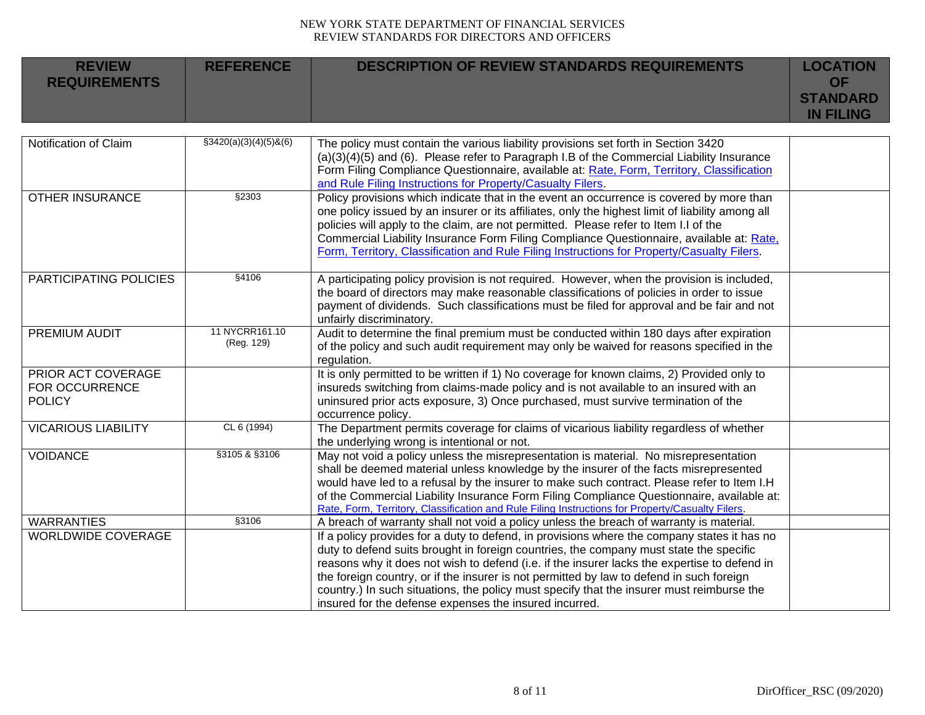| <b>REVIEW</b><br><b>REQUIREMENTS</b> | <b>REFERENCE</b> | <b>DESCRIPTION OF REVIEW STANDARDS REQUIREMENTS</b> | <b>LOCATION</b><br>ΩF<br><b>STANDARD</b> |
|--------------------------------------|------------------|-----------------------------------------------------|------------------------------------------|
|                                      |                  |                                                     | <b>IN FILING</b>                         |

| Notification of Claim      | $\S3420(a)(3)(4)(5)8(6)$ | The policy must contain the various liability provisions set forth in Section 3420               |  |
|----------------------------|--------------------------|--------------------------------------------------------------------------------------------------|--|
|                            |                          | $(a)(3)(4)(5)$ and $(6)$ . Please refer to Paragraph I.B of the Commercial Liability Insurance   |  |
|                            |                          | Form Filing Compliance Questionnaire, available at: Rate, Form, Territory, Classification        |  |
|                            |                          | and Rule Filing Instructions for Property/Casualty Filers.                                       |  |
| <b>OTHER INSURANCE</b>     | §2303                    | Policy provisions which indicate that in the event an occurrence is covered by more than         |  |
|                            |                          | one policy issued by an insurer or its affiliates, only the highest limit of liability among all |  |
|                            |                          | policies will apply to the claim, are not permitted. Please refer to Item I.I of the             |  |
|                            |                          | Commercial Liability Insurance Form Filing Compliance Questionnaire, available at: Rate,         |  |
|                            |                          | Form, Territory, Classification and Rule Filing Instructions for Property/Casualty Filers.       |  |
|                            |                          |                                                                                                  |  |
| PARTICIPATING POLICIES     | §4106                    | A participating policy provision is not required. However, when the provision is included,       |  |
|                            |                          | the board of directors may make reasonable classifications of policies in order to issue         |  |
|                            |                          | payment of dividends. Such classifications must be filed for approval and be fair and not        |  |
|                            |                          | unfairly discriminatory.                                                                         |  |
| PREMIUM AUDIT              | 11 NYCRR161.10           | Audit to determine the final premium must be conducted within 180 days after expiration          |  |
|                            | (Reg. 129)               | of the policy and such audit requirement may only be waived for reasons specified in the         |  |
|                            |                          | regulation.                                                                                      |  |
| PRIOR ACT COVERAGE         |                          | It is only permitted to be written if 1) No coverage for known claims, 2) Provided only to       |  |
| <b>FOR OCCURRENCE</b>      |                          | insureds switching from claims-made policy and is not available to an insured with an            |  |
| <b>POLICY</b>              |                          | uninsured prior acts exposure, 3) Once purchased, must survive termination of the                |  |
|                            |                          | occurrence policy.                                                                               |  |
| <b>VICARIOUS LIABILITY</b> | CL 6 (1994)              | The Department permits coverage for claims of vicarious liability regardless of whether          |  |
|                            |                          | the underlying wrong is intentional or not.                                                      |  |
| <b>VOIDANCE</b>            | §3105 & §3106            | May not void a policy unless the misrepresentation is material. No misrepresentation             |  |
|                            |                          | shall be deemed material unless knowledge by the insurer of the facts misrepresented             |  |
|                            |                          | would have led to a refusal by the insurer to make such contract. Please refer to Item I.H       |  |
|                            |                          | of the Commercial Liability Insurance Form Filing Compliance Questionnaire, available at:        |  |
|                            |                          | Rate, Form, Territory, Classification and Rule Filing Instructions for Property/Casualty Filers. |  |
| <b>WARRANTIES</b>          | §3106                    | A breach of warranty shall not void a policy unless the breach of warranty is material.          |  |
| <b>WORLDWIDE COVERAGE</b>  |                          | If a policy provides for a duty to defend, in provisions where the company states it has no      |  |
|                            |                          | duty to defend suits brought in foreign countries, the company must state the specific           |  |
|                            |                          | reasons why it does not wish to defend (i.e. if the insurer lacks the expertise to defend in     |  |
|                            |                          | the foreign country, or if the insurer is not permitted by law to defend in such foreign         |  |
|                            |                          | country.) In such situations, the policy must specify that the insurer must reimburse the        |  |
|                            |                          | insured for the defense expenses the insured incurred.                                           |  |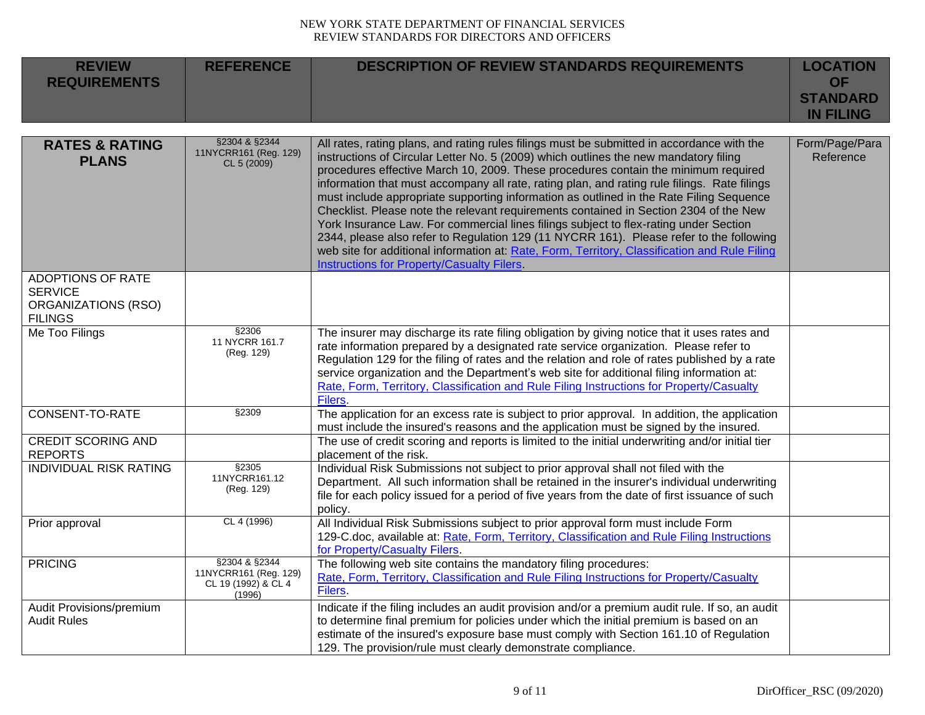| <b>REVIEW</b><br><b>REQUIREMENTS</b>                                                | <b>REFERENCE</b>                                                        | <b>DESCRIPTION OF REVIEW STANDARDS REQUIREMENTS</b>                                                                                                                                                                                                                                                                                                                                                                                                                                                                                                                                                                                                                                                                                                                                                                                                                                                    | <b>LOCATION</b><br><b>OF</b><br><b>STANDARD</b><br><b>IN FILING</b> |
|-------------------------------------------------------------------------------------|-------------------------------------------------------------------------|--------------------------------------------------------------------------------------------------------------------------------------------------------------------------------------------------------------------------------------------------------------------------------------------------------------------------------------------------------------------------------------------------------------------------------------------------------------------------------------------------------------------------------------------------------------------------------------------------------------------------------------------------------------------------------------------------------------------------------------------------------------------------------------------------------------------------------------------------------------------------------------------------------|---------------------------------------------------------------------|
| <b>RATES &amp; RATING</b><br><b>PLANS</b>                                           | §2304 & §2344<br>11NYCRR161 (Reg. 129)<br>CL 5 (2009)                   | All rates, rating plans, and rating rules filings must be submitted in accordance with the<br>instructions of Circular Letter No. 5 (2009) which outlines the new mandatory filing<br>procedures effective March 10, 2009. These procedures contain the minimum required<br>information that must accompany all rate, rating plan, and rating rule filings. Rate filings<br>must include appropriate supporting information as outlined in the Rate Filing Sequence<br>Checklist. Please note the relevant requirements contained in Section 2304 of the New<br>York Insurance Law. For commercial lines filings subject to flex-rating under Section<br>2344, please also refer to Regulation 129 (11 NYCRR 161). Please refer to the following<br>web site for additional information at: Rate, Form, Territory, Classification and Rule Filing<br><b>Instructions for Property/Casualty Filers.</b> | Form/Page/Para<br>Reference                                         |
| <b>ADOPTIONS OF RATE</b><br><b>SERVICE</b><br>ORGANIZATIONS (RSO)<br><b>FILINGS</b> |                                                                         |                                                                                                                                                                                                                                                                                                                                                                                                                                                                                                                                                                                                                                                                                                                                                                                                                                                                                                        |                                                                     |
| Me Too Filings                                                                      | §2306<br>11 NYCRR 161.7<br>(Reg. 129)                                   | The insurer may discharge its rate filing obligation by giving notice that it uses rates and<br>rate information prepared by a designated rate service organization. Please refer to<br>Regulation 129 for the filing of rates and the relation and role of rates published by a rate<br>service organization and the Department's web site for additional filing information at:<br>Rate, Form, Territory, Classification and Rule Filing Instructions for Property/Casualty<br><b>Filers</b>                                                                                                                                                                                                                                                                                                                                                                                                         |                                                                     |
| <b>CONSENT-TO-RATE</b>                                                              | §2309                                                                   | The application for an excess rate is subject to prior approval. In addition, the application<br>must include the insured's reasons and the application must be signed by the insured.                                                                                                                                                                                                                                                                                                                                                                                                                                                                                                                                                                                                                                                                                                                 |                                                                     |
| <b>CREDIT SCORING AND</b><br><b>REPORTS</b>                                         |                                                                         | The use of credit scoring and reports is limited to the initial underwriting and/or initial tier<br>placement of the risk.                                                                                                                                                                                                                                                                                                                                                                                                                                                                                                                                                                                                                                                                                                                                                                             |                                                                     |
| <b>INDIVIDUAL RISK RATING</b>                                                       | \$2305<br>11NYCRR161.12<br>(Reg. 129)                                   | Individual Risk Submissions not subject to prior approval shall not filed with the<br>Department. All such information shall be retained in the insurer's individual underwriting<br>file for each policy issued for a period of five years from the date of first issuance of such<br>policy.                                                                                                                                                                                                                                                                                                                                                                                                                                                                                                                                                                                                         |                                                                     |
| Prior approval                                                                      | CL 4 (1996)                                                             | All Individual Risk Submissions subject to prior approval form must include Form<br>129-C.doc, available at: Rate, Form, Territory, Classification and Rule Filing Instructions<br>for Property/Casualty Filers.                                                                                                                                                                                                                                                                                                                                                                                                                                                                                                                                                                                                                                                                                       |                                                                     |
| <b>PRICING</b>                                                                      | §2304 & §2344<br>11NYCRR161 (Reg. 129)<br>CL 19 (1992) & CL 4<br>(1996) | The following web site contains the mandatory filing procedures:<br>Rate, Form, Territory, Classification and Rule Filing Instructions for Property/Casualty<br>Filers.                                                                                                                                                                                                                                                                                                                                                                                                                                                                                                                                                                                                                                                                                                                                |                                                                     |
| Audit Provisions/premium<br><b>Audit Rules</b>                                      |                                                                         | Indicate if the filing includes an audit provision and/or a premium audit rule. If so, an audit<br>to determine final premium for policies under which the initial premium is based on an<br>estimate of the insured's exposure base must comply with Section 161.10 of Regulation<br>129. The provision/rule must clearly demonstrate compliance.                                                                                                                                                                                                                                                                                                                                                                                                                                                                                                                                                     |                                                                     |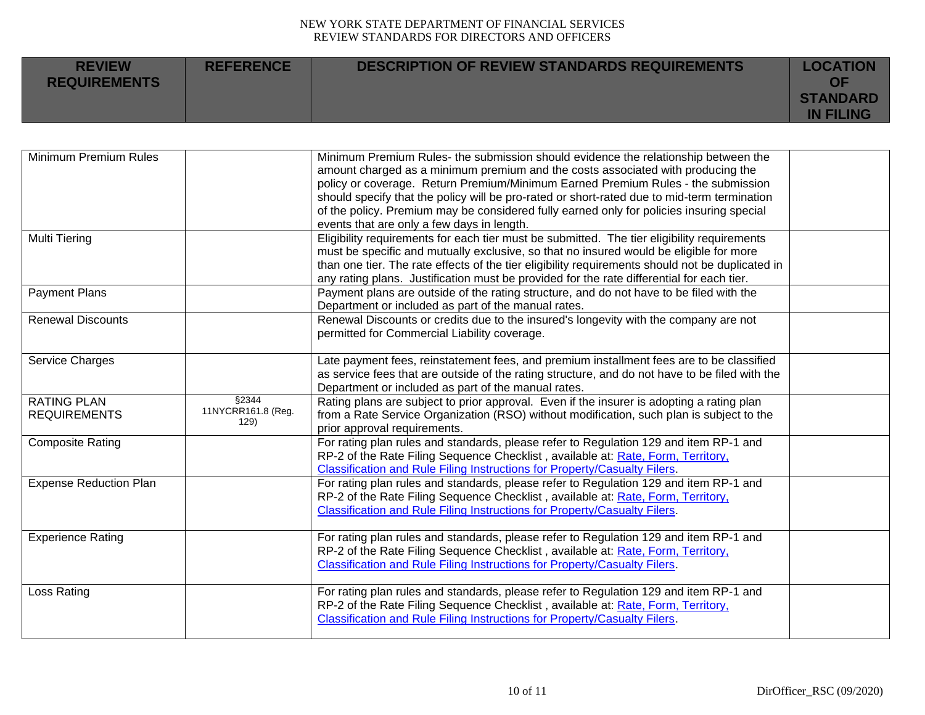| <b>REVIEW</b><br><b>REQUIREMENTS</b> | <b>REFERENCE</b> | <b>DESCRIPTION OF REVIEW STANDARDS REQUIREMENTS</b> | <b>LOCATION</b><br>ΩF               |
|--------------------------------------|------------------|-----------------------------------------------------|-------------------------------------|
|                                      |                  |                                                     | <b>STANDARD</b><br><b>IN FILING</b> |

| Minimum Premium Rules                     |                                      | Minimum Premium Rules- the submission should evidence the relationship between the<br>amount charged as a minimum premium and the costs associated with producing the<br>policy or coverage. Return Premium/Minimum Earned Premium Rules - the submission<br>should specify that the policy will be pro-rated or short-rated due to mid-term termination<br>of the policy. Premium may be considered fully earned only for policies insuring special<br>events that are only a few days in length. |  |
|-------------------------------------------|--------------------------------------|----------------------------------------------------------------------------------------------------------------------------------------------------------------------------------------------------------------------------------------------------------------------------------------------------------------------------------------------------------------------------------------------------------------------------------------------------------------------------------------------------|--|
| <b>Multi Tiering</b>                      |                                      | Eligibility requirements for each tier must be submitted. The tier eligibility requirements<br>must be specific and mutually exclusive, so that no insured would be eligible for more<br>than one tier. The rate effects of the tier eligibility requirements should not be duplicated in<br>any rating plans. Justification must be provided for the rate differential for each tier.                                                                                                             |  |
| <b>Payment Plans</b>                      |                                      | Payment plans are outside of the rating structure, and do not have to be filed with the<br>Department or included as part of the manual rates.                                                                                                                                                                                                                                                                                                                                                     |  |
| <b>Renewal Discounts</b>                  |                                      | Renewal Discounts or credits due to the insured's longevity with the company are not<br>permitted for Commercial Liability coverage.                                                                                                                                                                                                                                                                                                                                                               |  |
| Service Charges                           |                                      | Late payment fees, reinstatement fees, and premium installment fees are to be classified<br>as service fees that are outside of the rating structure, and do not have to be filed with the<br>Department or included as part of the manual rates.                                                                                                                                                                                                                                                  |  |
| <b>RATING PLAN</b><br><b>REQUIREMENTS</b> | \$2344<br>11NYCRR161.8 (Reg.<br>129) | Rating plans are subject to prior approval. Even if the insurer is adopting a rating plan<br>from a Rate Service Organization (RSO) without modification, such plan is subject to the<br>prior approval requirements.                                                                                                                                                                                                                                                                              |  |
| <b>Composite Rating</b>                   |                                      | For rating plan rules and standards, please refer to Regulation 129 and item RP-1 and<br>RP-2 of the Rate Filing Sequence Checklist, available at: Rate, Form, Territory,<br>Classification and Rule Filing Instructions for Property/Casualty Filers.                                                                                                                                                                                                                                             |  |
| <b>Expense Reduction Plan</b>             |                                      | For rating plan rules and standards, please refer to Regulation 129 and item RP-1 and<br>RP-2 of the Rate Filing Sequence Checklist, available at: Rate, Form, Territory,<br>Classification and Rule Filing Instructions for Property/Casualty Filers.                                                                                                                                                                                                                                             |  |
| <b>Experience Rating</b>                  |                                      | For rating plan rules and standards, please refer to Regulation 129 and item RP-1 and<br>RP-2 of the Rate Filing Sequence Checklist, available at: Rate, Form, Territory,<br>Classification and Rule Filing Instructions for Property/Casualty Filers.                                                                                                                                                                                                                                             |  |
| Loss Rating                               |                                      | For rating plan rules and standards, please refer to Regulation 129 and item RP-1 and<br>RP-2 of the Rate Filing Sequence Checklist, available at: Rate, Form, Territory,<br><b>Classification and Rule Filing Instructions for Property/Casualty Filers.</b>                                                                                                                                                                                                                                      |  |